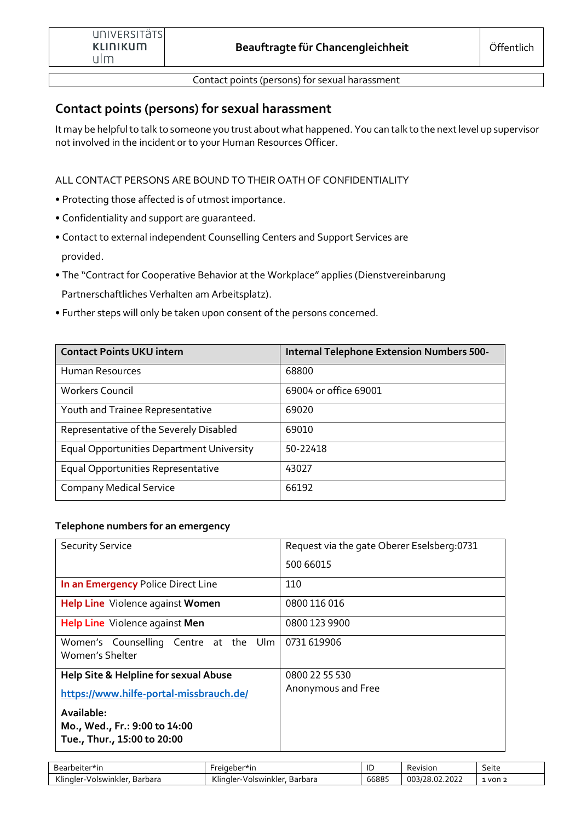Contact points (persons) for sexual harassment

# **Contact points (persons) for sexual harassment**

It may be helpful to talk to someone you trust about what happened. You can talk to the next level up supervisor not involved in the incident or to your Human Resources Officer.

ALL CONTACT PERSONS ARE BOUND TO THEIR OATH OF CONFIDENTIALITY

- Protecting those affected is of utmost importance.
- Confidentiality and support are guaranteed.
- Contact to external independent Counselling Centers and Support Services are provided.
- The "Contract for Cooperative Behavior at the Workplace" applies (Dienstvereinbarung Partnerschaftliches Verhalten am Arbeitsplatz).
- Further steps will only be taken upon consent of the persons concerned.

| <b>Contact Points UKU intern</b>                 | <b>Internal Telephone Extension Numbers 500-</b> |
|--------------------------------------------------|--------------------------------------------------|
| Human Resources                                  | 68800                                            |
| <b>Workers Council</b>                           | 69004 or office 69001                            |
| Youth and Trainee Representative                 | 69020                                            |
| Representative of the Severely Disabled          | 69010                                            |
| <b>Equal Opportunities Department University</b> | 50-22418                                         |
| Equal Opportunities Representative               | 43027                                            |
| <b>Company Medical Service</b>                   | 66192                                            |

#### **Telephone numbers for an emergency**

| <b>Security Service</b>                                      | Request via the gate Oberer Eselsberg: 0731 |
|--------------------------------------------------------------|---------------------------------------------|
|                                                              | 500 66015                                   |
| In an Emergency Police Direct Line                           | 110                                         |
| Help Line Violence against Women                             | 0800 116 016                                |
| Help Line Violence against Men                               | 0800 123 9900                               |
| Women's Counselling Centre at the Ulm<br>Women's Shelter     | 0731 619906                                 |
| Help Site & Helpline for sexual Abuse                        | 0800 22 55 530                              |
| https://www.hilfe-portal-missbrauch.de/                      | Anonymous and Free                          |
| Available:                                                   |                                             |
| Mo., Wed., Fr.: 9:00 to 14:00<br>Tue., Thur., 15:00 to 20:00 |                                             |

| -<br>arbeiter*in:<br>້<br>Dedi      | reigeber*in                                 | ᄔ     | Revision                             | Seite      |
|-------------------------------------|---------------------------------------------|-------|--------------------------------------|------------|
| Klingler<br>Barbara<br>Volswinkler. | .<br>Barbara<br>olswinkler.<br>uler<br>Klın | 66885 | ררחר<br>$\sim$<br>003<br>.28.02.2022 | von<br>. . |